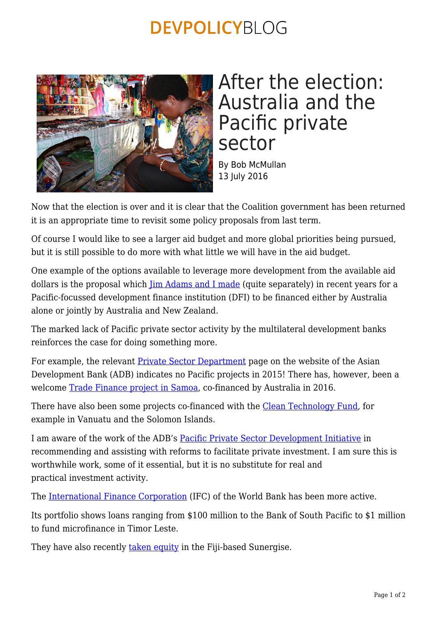## **DEVPOLICYBLOG**



## After the election: Australia and the Pacific private sector

By Bob McMullan 13 July 2016

Now that the election is over and it is clear that the Coalition government has been returned it is an appropriate time to revisit some policy proposals from last term.

Of course I would like to see a larger aid budget and more global priorities being pursued, but it is still possible to do more with what little we will have in the aid budget.

One example of the options available to leverage more development from the available aid dollars is the proposal which *[Jim Adams and I made](https://devpolicy.org/development-finance-company-for-australia-and-new-zealand-20140117/)* (quite separately) in recent years for a Pacific-focussed development finance institution (DFI) to be financed either by Australia alone or jointly by Australia and New Zealand.

The marked lack of Pacific private sector activity by the multilateral development banks reinforces the case for doing something more.

For example, the relevant **[Private Sector Department](http://www.adb.org/site/private-sector-financing/main)** page on the website of the Asian Development Bank (ADB) indicates no Pacific projects in 2015! There has, however, been a welcome [Trade Finance project in Samoa,](http://www.adb.org/news/adb-trade-finance-program-agreement-two-samoan-banks-pacific-first) co-financed by Australia in 2016.

There have also been some projects co-financed with the [Clean Technology Fund,](http://www.adb.org/publications/adb-and-climate-investment-funds-country-fact-sheets) for example in Vanuatu and the Solomon Islands.

I am aware of the work of the ADB's [Pacific Private Sector Development Initiative](http://www.adbpsdi.org/p/what-is-psdi.html) in recommending and assisting with reforms to facilitate private investment. I am sure this is worthwhile work, some of it essential, but it is no substitute for real and practical investment activity.

The [International Finance Corporation](http://www.ifc.org/wps/wcm/connect/corp_ext_content/ifc_external_corporate_site/home) (IFC) of the World Bank has been more active.

Its portfolio shows loans ranging from \$100 million to the Bank of South Pacific to \$1 million to fund microfinance in Timor Leste.

They have also recently [taken equity](http://www.sunergisegroup.com/radio-australia-interview/) in the Fiji-based Sunergise.